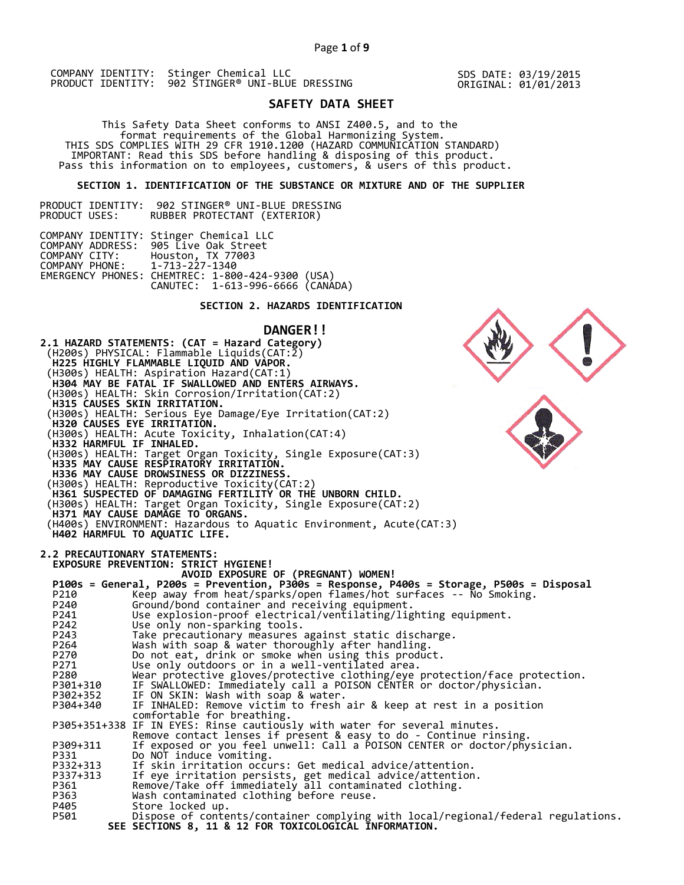SDS DATE: 03/19/2015 ORIGINAL: 01/01/2013

# **SAFETY DATA SHEET**

 This Safety Data Sheet conforms to ANSI Z400.5, and to the format requirements of the Global Harmonizing System. THIS SDS COMPLIES WITH 29 CFR 1910.1200 (HAZARD COMMUNICATION STANDARD) IMPORTANT: Read this SDS before handling & disposing of this product. Pass this information on to employees, customers, & users of this product.

# **SECTION 1. IDENTIFICATION OF THE SUBSTANCE OR MIXTURE AND OF THE SUPPLIER**

PRODUCT IDENTITY: 902 STINGER® UNI-BLUE DRESSING RUBBER PROTECTANT (EXTERIOR)

|                               | COMPANY IDENTITY: Stinger Chemical LLC           |  |  |
|-------------------------------|--------------------------------------------------|--|--|
|                               | COMPANY ADDRESS: 905 Live Oak Street             |  |  |
| COMPANY CITY:                 | Houston, TX 77003                                |  |  |
| COMPANY PHONE: 1-713-227-1340 |                                                  |  |  |
|                               | EMERGENCY PHONES: CHEMTREC: 1-800-424-9300 (USA) |  |  |
|                               | CANUTEC: 1-613-996-6666 (CANADA)                 |  |  |

# **SECTION 2. HAZARDS IDENTIFICATION**

#### **DANGER!!**

**2.1 HAZARD STATEMENTS: (CAT = Hazard Category)** (H200s) PHYSICAL: Flammable Liquids(CAT:2)  **H225 HIGHLY FLAMMABLE LIQUID AND VAPOR.**  (H300s) HEALTH: Aspiration Hazard(CAT:1)  **H304 MAY BE FATAL IF SWALLOWED AND ENTERS AIRWAYS.**  (H300s) HEALTH: Skin Corrosion/Irritation(CAT:2)  **H315 CAUSES SKIN IRRITATION.**  (H300s) HEALTH: Serious Eye Damage/Eye Irritation(CAT:2)  **H320 CAUSES EYE IRRITATION.**  (H300s) HEALTH: Acute Toxicity, Inhalation(CAT:4)  **H332 HARMFUL IF INHALED.**  (H300s) HEALTH: Target Organ Toxicity, Single Exposure(CAT:3)  **H335 MAY CAUSE RESPIRATORY IRRITATION. H336 MAY CAUSE DROWSINESS OR DIZZINESS.**  (H300s) HEALTH: Reproductive Toxicity(CAT:2)  **H361 SUSPECTED OF DAMAGING FERTILITY OR THE UNBORN CHILD.**  (H300s) HEALTH: Target Organ Toxicity, Single Exposure(CAT:2)  **H371 MAY CAUSE DAMAGE TO ORGANS.**  (H400s) ENVIRONMENT: Hazardous to Aquatic Environment, Acute(CAT:3)  **H402 HARMFUL TO AQUATIC LIFE. 2.2 PRECAUTIONARY STATEMENTS: EXPOSURE PREVENTION: STRICT HYGIENE! AVOID EXPOSURE OF (PREGNANT) WOMEN! P100s = General, P200s = Prevention, P300s = Response, P400s = Storage, P500s = Disposal**  P210 Keep away from heat/sparks/open flames/hot surfaces -- No Smoking. P240 Ground/bond container and receiving equipment. P241 Use explosion-proof electrical/ventilating/lighting equipment. P242 Use only non-sparking tools. P243 Take precautionary measures against static discharge.<br>P264 Wash with soap & water thoroughly after handling. P264 Wash with soap & water thoroughly after handling. P270 Do not eat, drink or smoke when using this product. P271 Use only outdoors or in a well-ventilated area. P280 Wear protective gloves/protective clothing/eye protection/face protection. P301+310 IF SWALLOWED: Immediately call a POISON CENTER or doctor/physician. P302+352 IF ON SKIN: Wash with soap & water. P304+340 IF INHALED: Remove victim to fresh air & keep at rest in a position comfortable for breathing. P305+351+338 IF IN EYES: Rinse cautiously with water for several minutes. Remove contact lenses if present & easy to do - Continue rinsing. P309+311 If exposed or you feel unwell: Call a POISON CENTER or doctor/physician. P331 Do NOT induce vomiting. P332+313 If skin irritation occurs: Get medical advice/attention. P337+313 If eye irritation persists, get medical advice/attention. P361 Remove/Take off immediately all contaminated clothing. P363 Wash contaminated clothing before reuse.<br>P405 Store locked up. P405 Store locked up.<br>P501 Dispose of conte Dispose of contents/container complying with local/regional/federal regulations.  **SEE SECTIONS 8, 11 & 12 FOR TOXICOLOGICAL INFORMATION.**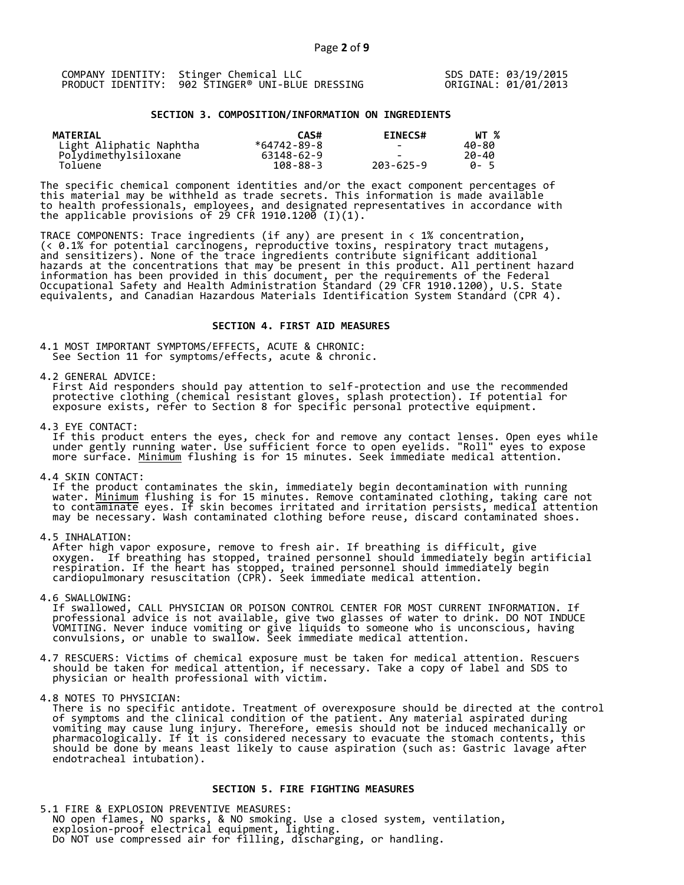| COMPANY IDENTITY: Stinger Chemical LLC           | SDS DATE: 03/19/2015 |
|--------------------------------------------------|----------------------|
| PRODUCT IDENTITY: 902 STINGER® UNI-BLUE DRESSING | ORIGINAL: 01/01/2013 |

#### **SECTION 3. COMPOSITION/INFORMATION ON INGREDIENTS**

| <b>MATERIAL</b>         | CAS#           | <b>EINECS#</b> | WT %        |
|-------------------------|----------------|----------------|-------------|
| Light Aliphatic Naphtha | *64742-89-8    |                | 40-80       |
| Polydimethylsiloxane    | 63148-62-9     |                | 20-40       |
| Toluene                 | $108 - 88 - 3$ | 203-625-9      | <b>A</b> -5 |

The specific chemical component identities and/or the exact component percentages of this material may be withheld as trade secrets. This information is made available to health professionals, employees, and designated representatives in accordance with the applicable provisions of 29 CFR 1910.1200̄ (I)(1).  $\overline{\phantom{a}}$ 

TRACE COMPONENTS: Trace ingredients (if any) are present in < 1% concentration, (< 0.1% for potential carcinogens, reproductive toxins, respiratory tract mutagens, and sensitizers). None of the trace ingredients contribute significant additional hazards at the concentrations that may be present in this product. All pertinent hazard information has been provided in this document, per the requirements of the Federal Occupational Safety and Health Administration Standard (29 CFR 1910.1200), U.S. State equivalents, and Canadian Hazardous Materials Identification System Standard (CPR 4).

#### **SECTION 4. FIRST AID MEASURES**

4.1 MOST IMPORTANT SYMPTOMS/EFFECTS, ACUTE & CHRONIC: See Section 11 for symptoms/effects, acute & chronic.

4.2 GENERAL ADVICE:

 First Aid responders should pay attention to self-protection and use the recommended protective clothing (chemical resistant gloves, splash protection). If potential for exposure exists, refer to Section 8 for specific personal protective equipment.

4.3 EYE CONTACT:

 If this product enters the eyes, check for and remove any contact lenses. Open eyes while under gently running water. Use sufficient force to open eyelids. "Roll" eyes to expose more surface. <u>Minimum</u> flushing is for 15 minutes. Seek immediate medical attention.

4.4 SKIN CONTACT:

 If the product contaminates the skin, immediately begin decontamination with running water. <u>Minimum</u> flushing is for 15 minutes. Remove contaminated clothing, taking care not to contaminate eyes. If skin becomes irritated and irritation persists, medical attention may be necessary. Wash contaminated clothing before reuse, discard contaminated shoes.

4.5 INHALATION:

 After high vapor exposure, remove to fresh air. If breathing is difficult, give oxygen. If breathing has stopped, trained personnel should immediately begin artificial respiration. If the heart has stopped, trained personnel should immediately begin cardiopulmonary resuscitation (CPR). Seek immediate medical attention.

4.6 SWALLOWING:

 If swallowed, CALL PHYSICIAN OR POISON CONTROL CENTER FOR MOST CURRENT INFORMATION. If professional advice is not available, give two glasses of water to drink. DO NOT INDUCE VOMITING. Never induce vomiting or give liquids to someone who is unconscious, having convulsions, or unable to swallow. Seek immediate medical attention.

4.7 RESCUERS: Victims of chemical exposure must be taken for medical attention. Rescuers should be taken for medical attention, if necessary. Take a copy of label and SDS to physician or health professional with victim.

4.8 NOTES TO PHYSICIAN:

 There is no specific antidote. Treatment of overexposure should be directed at the control of symptoms and the clinical condition of the patient. Any material aspirated during vomiting may cause lung injury. Therefore, emesis should not be induced mechanically or pharmacologically. If it is considered necessary to evacuate the stomach contents, this should be done by means least likely to cause aspiration (such as: Gastric lavage after endotracheal intubation).

#### **SECTION 5. FIRE FIGHTING MEASURES**

5.1 FIRE & EXPLOSION PREVENTIVE MEASURES: NO open flames, NO sparks, & NO smoking. Use a closed system, ventilation, explosion-proof electrical equipment, lighting. Do NOT use compressed air for filling, discharging, or handling.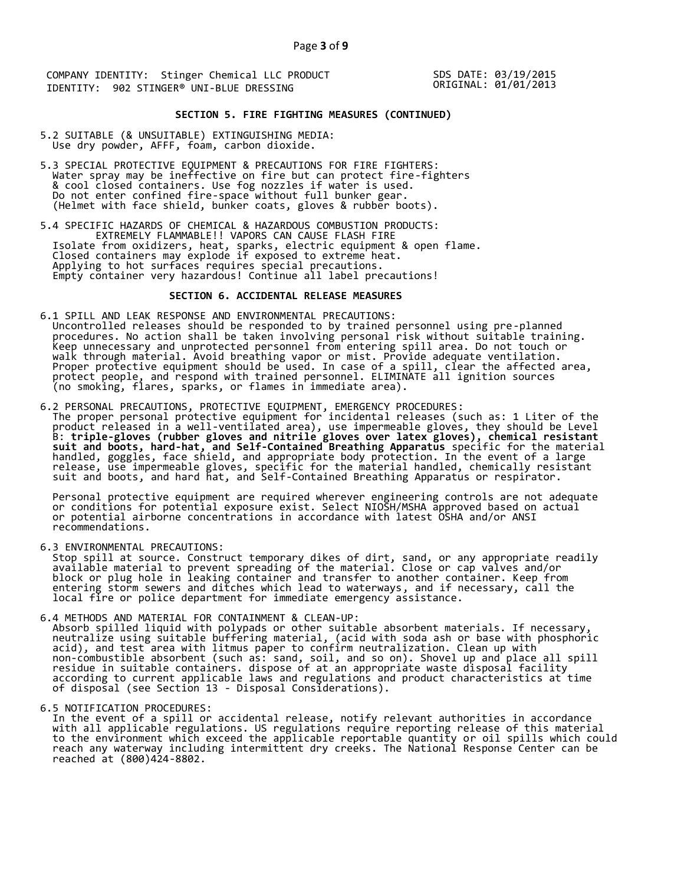SDS DATE: 03/19/2015 ORIGINAL: 01/01/2013

# **SECTION 5. FIRE FIGHTING MEASURES (CONTINUED)**

- 5.2 SUITABLE (& UNSUITABLE) EXTINGUISHING MEDIA: Use dry powder, AFFF, foam, carbon dioxide.
- 5.3 SPECIAL PROTECTIVE EQUIPMENT & PRECAUTIONS FOR FIRE FIGHTERS: Water spray may be ineffective on fire but can protect fire-fighters & cool closed containers. Use fog nozzles if water is used. Do not enter confined fire-space without full bunker gear. (Helmet with face shield, bunker coats, gloves & rubber boots).
- 5.4 SPECIFIC HAZARDS OF CHEMICAL & HAZARDOUS COMBUSTION PRODUCTS: EXTREMELY FLAMMABLE!! VAPORS CAN CAUSE FLASH FIRE Isolate from oxidizers, heat, sparks, electric equipment & open flame. Closed containers may explode if exposed to extreme heat. Applying to hot surfaces requires special precautions. Empty container very hazardous! Continue all label precautions!

#### **SECTION 6. ACCIDENTAL RELEASE MEASURES**

- 6.1 SPILL AND LEAK RESPONSE AND ENVIRONMENTAL PRECAUTIONS: Uncontrolled releases should be responded to by trained personnel using pre-planned procedures. No action shall be taken involving personal risk without suitable training. Keep unnecessary and unprotected personnel from entering spill area. Do not touch or walk through material. Avoid breathing vapor or mist. Provide adequate ventilation. Proper protective equipment should be used. In case of a spill, clear the affected area, protect people, and respond with trained personnel. ELIMINATE all ignition sources (no smoking, flares, sparks, or flames in immediate area).
- 6.2 PERSONAL PRECAUTIONS, PROTECTIVE EQUIPMENT, EMERGENCY PROCEDURES: The proper personal protective equipment for incidental releases (such as: 1 Liter of the product released in a well-ventilated area), use impermeable gloves, they should be Level B: **triple-gloves (rubber gloves and nitrile gloves over latex gloves), chemical resistant suit and boots, hard-hat, and Self-Contained Breathing Apparatus** specific for the material handled, goggles, face shield, and appropriate body protection. In the event of a large release, use impermeable gloves, specific for the material handled, chemically resistant suit and boots, and hard hat, and Self-Contained Breathing Apparatus or respirator.

 Personal protective equipment are required wherever engineering controls are not adequate or conditions for potential exposure exist. Select NIOSH/MSHA approved based on actual or potential airborne concentrations in accordance with latest OSHA and/or ANSI recommendations.

6.3 ENVIRONMENTAL PRECAUTIONS:

 Stop spill at source. Construct temporary dikes of dirt, sand, or any appropriate readily available material to prevent spreading of the material. Close or cap valves and/or block or plug hole in leaking container and transfer to another container. Keep from entering storm sewers and ditches which lead to waterways, and if necessary, call the local fire or police department for immediate emergency assistance.

- 6.4 METHODS AND MATERIAL FOR CONTAINMENT & CLEAN-UP: Absorb spilled liquid with polypads or other suitable absorbent materials. If necessary, neutralize using suitable buffering material, (acid with soda ash or base with phosphoric acid), and test area with litmus paper to confirm neutralization. Clean up with non-combustible absorbent (such as: sand, soil, and so on). Shovel up and place all spill residue in suitable containers. dispose of at an appropriate waste disposal facility according to current applicable laws and regulations and product characteristics at time of disposal (see Section 13 - Disposal Considerations).
- 

6.5 NOTIFICATION PROCEDURES:<br>In the event of a spill or accidental release, notify relevant authorities in accordance In the event of a spill or accidental release, notify relevant authorities in accordance with all applicable regulations. US regulations require reporting release of this material to the environment which exceed the applicable reportable quantity or oil spills which could reach any waterway including intermittent dry creeks. The National Response Center can be reached at (800)424-8802.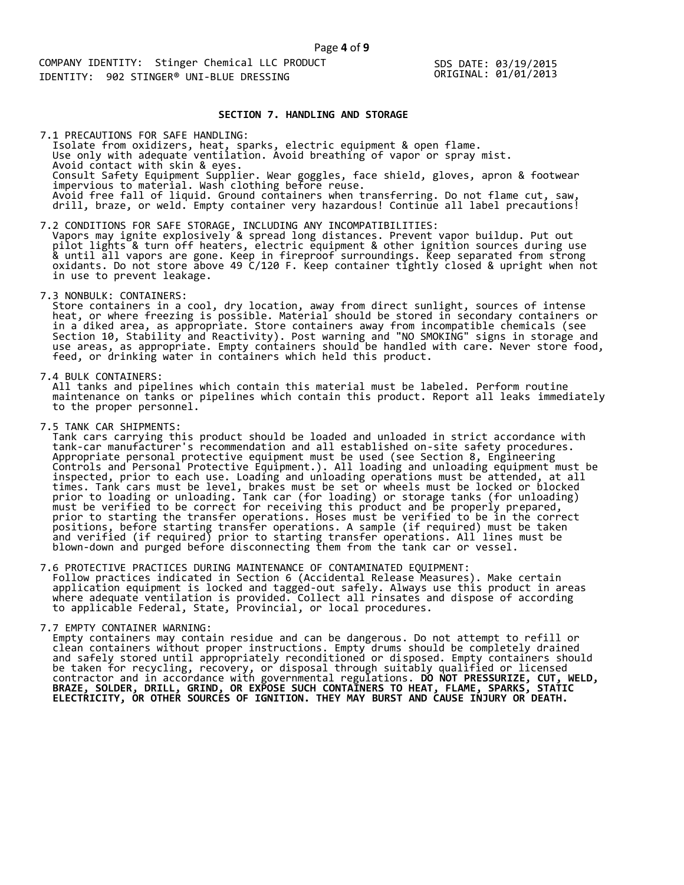SDS DATE: 03/19/2015 ORIGINAL: 01/01/2013

#### **SECTION 7. HANDLING AND STORAGE**

 Isolate from oxidizers, heat, sparks, electric equipment & open flame. Use only with adequate ventilation. Avoid breathing of vapor or spray mist. Avoid contact with skin & eyes. Consult Safety Equipment Supplier. Wear goggles, face shield, gloves, apron & footwear impervious to material. Wash clothing before reuse. Avoid free fall of liquid. Ground containers when transferring. Do not flame cut, saw, drill, braze, or weld. Empty container very hazardous! Continue all label precautions! 7.1 PRECAUTIONS FOR SAFE HANDLING:

7.2 CONDITIONS FOR SAFE STORAGE, INCLUDING ANY INCOMPATIBILITIES: Vapors may ignite explosively & spread long distances. Prevent vapor buildup. Put out pilot lights & turn off heaters, electric equipment & other ignition sources during use & until all vapors are gone. Keep in fireproof surroundings. Keep separated from strong oxidants. Do not store above 49 C/120 F. Keep container tightly closed & upright when not in use to prevent leakage.

7.3 NONBULK: CONTAINERS:

 Store containers in a cool, dry location, away from direct sunlight, sources of intense heat, or where freezing is possible. Material should be stored in secondary containers or in a diked area, as appropriate. Store containers away from incompatible chemicals (see Section 10, Stability and Reactivity). Post warning and "NO SMOKING" signs in storage and use areas, as appropriate. Empty containers should be handled with care. Never store food, feed, or drinking water in containers which held this product.

7.4 BULK CONTAINERS:

 All tanks and pipelines which contain this material must be labeled. Perform routine maintenance on tanks or pipelines which contain this product. Report all leaks immediately to the proper personnel.

7.5 TANK CAR SHIPMENTS:

 Tank cars carrying this product should be loaded and unloaded in strict accordance with tank-car manufacturer's recommendation and all established on-site safety procedures. Appropriate personal protective equipment must be used (see Section 8, Engineering Controls and Personal Protective Equipment.). All loading and unloading equipment must be inspected, prior to each use. Loading and unloading operations must be attended, at all times. Tank cars must be level, brakes must be set or wheels must be locked or blocked prior to loading or unloading. Tank car (for loading) or storage tanks (for unloading) must be verified to be correct for receiving this product and be properly prepared, prior to starting the transfer operations. Hoses must be verified to be in the correct positions, before starting transfer operations. A sample (if required) must be taken and verified (if required) prior to starting transfer operations. All lines must be blown-down and purged before disconnecting them from the tank car or vessel.

7.6 PROTECTIVE PRACTICES DURING MAINTENANCE OF CONTAMINATED EQUIPMENT: Follow practices indicated in Section 6 (Accidental Release Measures). Make certain application equipment is locked and tagged-out safely. Always use this product in areas where adequate ventilation is provided. Collect all rinsates and dispose of according to applicable Federal, State, Provincial, or local procedures.

7.7 EMPTY CONTAINER WARNING:

 Empty containers may contain residue and can be dangerous. Do not attempt to refill or clean containers without proper instructions. Empty drums should be completely drained and safely stored until appropriately reconditioned or disposed. Empty containers should be taken for recycling, recovery, or disposal through suitably qualified or licensed contractor and in accordance with governmental regulations. **DO NOT PRESSURIZE, CUT, WELD, BRAZE, SOLDER, DRILL, GRIND, OR EXPOSE SUCH CONTAINERS TO HEAT, FLAME, SPARKS, STATIC ELECTRICITY, OR OTHER SOURCES OF IGNITION. THEY MAY BURST AND CAUSE INJURY OR DEATH.**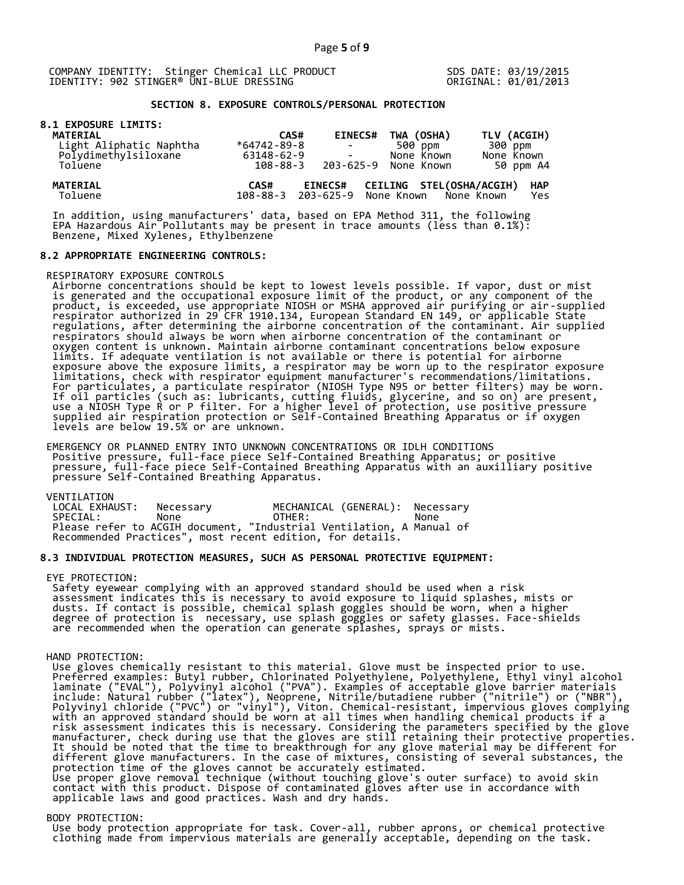SDS DATE: 03/19/2015 ORIGINAL: 01/01/2013

# **SECTION 8. EXPOSURE CONTROLS/PERSONAL PROTECTION**

|  |  | <b>8.1 EXPOSURE LIMITS:</b> |
|--|--|-----------------------------|
|  |  |                             |

| <b>MATERIAL</b>            | CAS#              | <b>EINECS#</b>                                  | TWA (OSHA)               | TLV (ACGIH)                     |
|----------------------------|-------------------|-------------------------------------------------|--------------------------|---------------------------------|
| Light Aliphatic Naphtha    | $*64742 - 89 - 8$ | <b>Contract Contract</b>                        | 500 ppm                  | 300 ppm                         |
| Polydimethylsiloxane       | 63148-62-9        |                                                 | None Known               | None Known                      |
| Toluene                    | 108-88-3          |                                                 | 203-625-9 None Known     | 50 ppm A4                       |
| <b>MATERIAL</b><br>Toluene | CAS#              | <b>EINECS#</b><br>108-88-3 203-625-9 None Known | CEILING STEL(OSHA/ACGIH) | <b>HAP</b><br>None Known<br>Yes |

 In addition, using manufacturers' data, based on EPA Method 311, the following EPA Hazardous Air Pollutants may be present in trace amounts (less than 0.1%): Benzene, Mixed Xylenes, Ethylbenzene

#### **8.2 APPROPRIATE ENGINEERING CONTROLS:**

RESPIRATORY EXPOSURE CONTROLS

 Airborne concentrations should be kept to lowest levels possible. If vapor, dust or mist is generated and the occupational exposure limit of the product, or any component of the product, is exceeded, use appropriate NIOSH or MSHA approved air purifying or air-supplied respirator authorized in 29 CFR 1910.134, European Standard EN 149, or applicable State regulations, after determining the airborne concentration of the contaminant. Air supplied respirators should always be worn when airborne concentration of the contaminant or oxygen content is unknown. Maintain airborne contaminant concentrations below exposure limits. If adequate ventilation is not available or there is potential for airborne exposure above the exposure limits, a respirator may be worn up to the respirator exposure limitations, check with respirator equipment manufacturer's recommendations/limitations. For particulates, a particulate respirator (NIOSH Type N95 or better filters) may be worn. If oil particles (such as: lubricants, cutting fluids, glycerine, and so on) are present, use a NIOSH Type R or P filter. For a higher level of protection, use positive pressure supplied air respiration protection or Self-Contained Breathing Apparatus or if oxygen levels are below 19.5% or are unknown.

 EMERGENCY OR PLANNED ENTRY INTO UNKNOWN CONCENTRATIONS OR IDLH CONDITIONS Positive pressure, full-face piece Self-Contained Breathing Apparatus; or positive pressure, full-face piece Self-Contained Breathing Apparatus with an auxilliary positive pressure Self-Contained Breathing Apparatus.

VENTILATION<br>LOCAL EXHAUST: LOCAL EXHAUST: Necessary MECHANICAL (GENERAL): Necessary SPECIAL: None OTHER: None Please refer to ACGIH document, "Industrial Ventilation, A Manual of Recommended Practices", most recent edition, for details.

#### **8.3 INDIVIDUAL PROTECTION MEASURES, SUCH AS PERSONAL PROTECTIVE EQUIPMENT:**

#### EYE PROTECTION:

 Safety eyewear complying with an approved standard should be used when a risk assessment indicates this is necessary to avoid exposure to liquid splashes, mists or dusts. If contact is possible, chemical splash goggles should be worn, when a higher degree of protection is necessary, use splash goggles or safety glasses. Face-shields are recommended when the operation can generate splashes, sprays or mists.

#### HAND PROTECTION:

 Use gloves chemically resistant to this material. Glove must be inspected prior to use. Preferred examples: Butyl rubber, Chlorinated Polyethylene, Polyethylene, Ethyl vinyl alcohol laminate ("EVAL"), Polyvinyl alcohol ("PVA"). Examples of acceptable glove barrier materials include: Natural rubber ("latex"), Neoprene, Nitrile/butadiene rubber ("nitrile") or ("NBR"), Polyvinyl chloride ("PVC") or "vinyl"), Viton. Chemical-resistant, impervious gloves complying with an approved standard should be worn at all times when handling chemical products if a risk assessment indicates this is necessary. Considering the parameters specified by the glove manufacturer, check during use that the gloves are still retaining their protective properties. It should be noted that the time to breakthrough for any glove material may be different for different glove manufacturers. In the case of mixtures, consisting of several substances, the protection time of the gloves cannot be accurately estimated. Use proper glove removal technique (without touching glove's outer surface) to avoid skin contact with this product. Dispose of contaminated gloves after use in accordance with applicable laws and good practices. Wash and dry hands.

#### BODY PROTECTION:

 Use body protection appropriate for task. Cover-all, rubber aprons, or chemical protective clothing made from impervious materials are generally acceptable, depending on the task.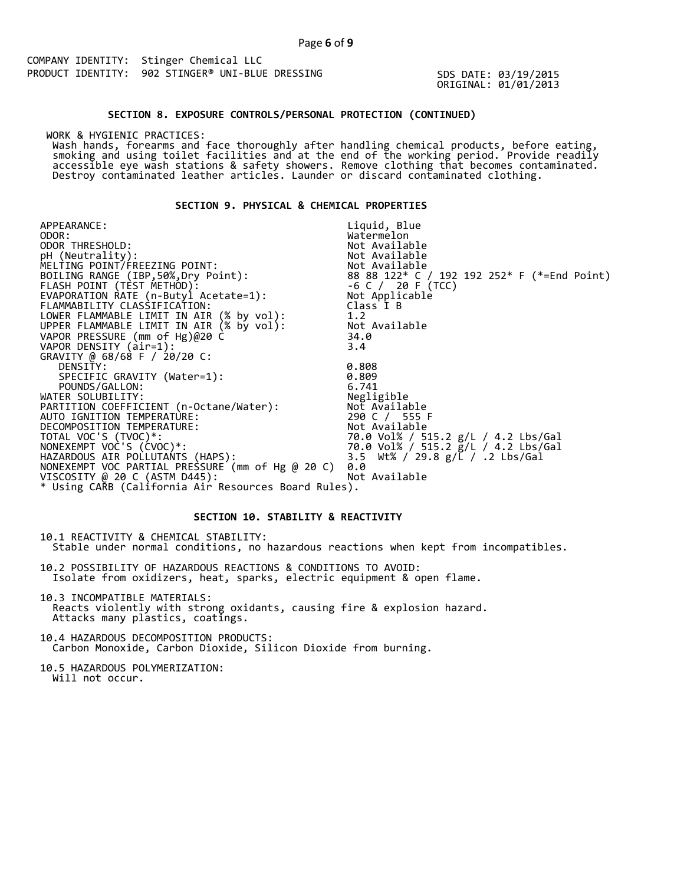SDS DATE: 03/19/2015 ORIGINAL: 01/01/2013

#### **SECTION 8. EXPOSURE CONTROLS/PERSONAL PROTECTION (CONTINUED)**

WORK & HYGIENIC PRACTICES:

 Wash hands, forearms and face thoroughly after handling chemical products, before eating, smoking and using toilet facilities and at the end of the working period. Provide readily accessible eye wash stations & safety showers. Remove clothing that becomes contaminated. Destroy contaminated leather articles. Launder or discard contaminated clothing.

#### **SECTION 9. PHYSICAL & CHEMICAL PROPERTIES**

APPEARANCE: ODOR:<br>ODOR THRESHOLD: Liquid, Blue Watermelon<br>Not Available ODOR THRESHOLD: Not Available pH (Neutrality): Not Available is a set of  $\mathbb N$ MELTING POINT/FREEZING POINT: Not Available  $8888122* C / 192192252* F (*=End Point)  
-6 C / 20 F (TCC)$ FLASH POINT (TEST METHOD): -6 C / 20 F (TCC) EVAPORATION RATE (n-Butyl Acetate=1): Not Applicable FLAMMABILITY CLASSIFICATION: Class I B LOWER FLAMMABLE LIMIT IN AIR (% by vol): 1.2 UPPER FLAMMABLE LIMIT IN AIR (% by vol): Not Available VAPOR PRESSURE (mm of Hg)@20 C 34.0 VAPOR DENSITY (air=1): 3.4 GRAVITY @ 68/68 F / 20/20 C: DENSITY: 0.808 SPECIFIC GRAVITY (Water=1): 0.809 POUNDS/GALLON: 6.741 WATER SOLUBILITY: Negligible PARTITION COEFFICIENT (n-Octane/Water): Not Available AUTO IGNITION TEMPERATURE: 290 C / 555 F DECOMPOSITION TEMPERATURE: Not Available TOTAL VOC'S (TVOC)\*: 70.0 Vol% / 515.2 g/L / 4.2 Lbs/Gal NONEXEMPT VOC'S (CVOC)\*: 70.0 Vol% / 515.2 g/L / 4.2 Lbs/Gal HAZARDOUS AIR POLLUTANTS (HAPS): 3.5 Wt% / 29.8 g/L / .2 Lbs/Gal NONEXEMPT VOC PARTIAL PRESSURE (mm of Hg @ 20 C) 0.0 VISCOSITY @ 20 C (ASTM D445): Not Available \* Using CARB (California Air Resources Board Rules).

# **SECTION 10. STABILITY & REACTIVITY**

10.1 REACTIVITY & CHEMICAL STABILITY: Stable under normal conditions, no hazardous reactions when kept from incompatibles.

10.2 POSSIBILITY OF HAZARDOUS REACTIONS & CONDITIONS TO AVOID: Isolate from oxidizers, heat, sparks, electric equipment & open flame.

10.3 INCOMPATIBLE MATERIALS: Reacts violently with strong oxidants, causing fire & explosion hazard. Attacks many plastics, coatings.

10.4 HAZARDOUS DECOMPOSITION PRODUCTS: Carbon Monoxide, Carbon Dioxide, Silicon Dioxide from burning.

10.5 HAZARDOUS POLYMERIZATION: Will not occur.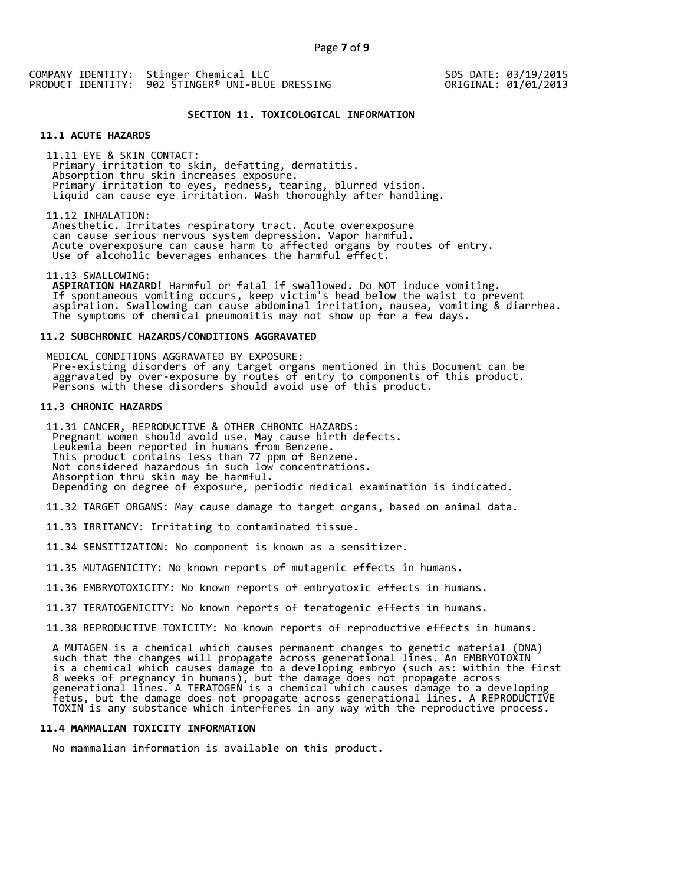SDS DATE: 03/19/2015 ORIGINAL: 01/01/2013

#### **SECTION 11. TOXICOLOGICAL INFORMATION**

# **11.1 ACUTE HAZARDS**

 11.11 EYE & SKIN CONTACT: Primary irritation to skin, defatting, dermatitis. Absorption thru skin increases exposure. Primary irritation to eyes, redness, tearing, blurred vision. Liquid can cause eye irritation. Wash thoroughly after handling.

11.12 INHALATION:

 Anesthetic. Irritates respiratory tract. Acute overexposure can cause serious nervous system depression. Vapor harmful. Acute overexposure can cause harm to affected organs by routes of entry. Use of alcoholic beverages enhances the harmful effect.

11.13 SWALLOWING:

 **ASPIRATION HAZARD!** Harmful or fatal if swallowed. Do NOT induce vomiting. If spontaneous vomiting occurs, keep victim's head below the waist to prevent aspiration. Swallowing can cause abdominal irritation, nausea, vomiting & diarrhea. The symptoms of chemical pneumonitis may not show up for a few days.

#### **11.2 SUBCHRONIC HAZARDS/CONDITIONS AGGRAVATED**

 MEDICAL CONDITIONS AGGRAVATED BY EXPOSURE: Pre-existing disorders of any target organs mentioned in this Document can be aggravated by over-exposure by routes of entry to components of this product. Persons with these disorders should avoid use of this product.

## **11.3 CHRONIC HAZARDS**

 11.31 CANCER, REPRODUCTIVE & OTHER CHRONIC HAZARDS: Pregnant women should avoid use. May cause birth defects. Leukemia been reported in humans from Benzene. This product contains less than 77 ppm of Benzene. Not considered hazardous in such low concentrations. Absorption thru skin may be harmful. Depending on degree of exposure, periodic medical examination is indicated.

11.32 TARGET ORGANS: May cause damage to target organs, based on animal data.

11.33 IRRITANCY: Irritating to contaminated tissue.

11.34 SENSITIZATION: No component is known as a sensitizer.

11.35 MUTAGENICITY: No known reports of mutagenic effects in humans.

11.36 EMBRYOTOXICITY: No known reports of embryotoxic effects in humans.

11.37 TERATOGENICITY: No known reports of teratogenic effects in humans.

11.38 REPRODUCTIVE TOXICITY: No known reports of reproductive effects in humans.

 A MUTAGEN is a chemical which causes permanent changes to genetic material (DNA) such that the changes will propagate across generational lines. An EMBRYOTOXIN is a chemical which causes damage to a developing embryo (such as: within the first 8 weeks of pregnancy in humans), but the damage does not propagate across generational lines. A TERATOGEN is a chemical which causes damage to a developing fetus, but the damage does not propagate across generational lines. A REPRODUCTIVE TOXIN is any substance which interferes in any way with the reproductive process.

#### **11.4 MAMMALIAN TOXICITY INFORMATION**

No mammalian information is available on this product.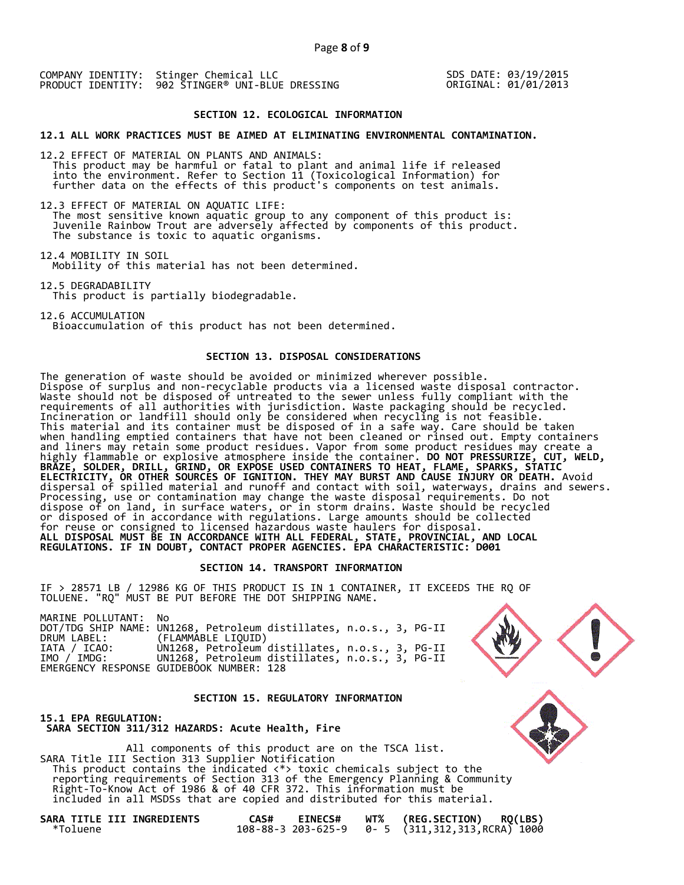SDS DATE: 03/19/2015 ORIGINAL: 01/01/2013

#### **SECTION 12. ECOLOGICAL INFORMATION**

**12.1 ALL WORK PRACTICES MUST BE AIMED AT ELIMINATING ENVIRONMENTAL CONTAMINATION.** 

12.2 EFFECT OF MATERIAL ON PLANTS AND ANIMALS: This product may be harmful or fatal to plant and animal life if released into the environment. Refer to Section 11 (Toxicological Information) for further data on the effects of this product's components on test animals.

12.3 EFFECT OF MATERIAL ON AQUATIC LIFE: The most sensitive known aquatic group to any component of this product is: Juvenile Rainbow Trout are adversely affected by components of this product. The substance is toxic to aquatic organisms.

12.4 MOBILITY IN SOIL Mobility of this material has not been determined.

12.5 DEGRADABILITY This product is partially biodegradable.

12.6 ACCUMULATION Bioaccumulation of this product has not been determined.

# **SECTION 13. DISPOSAL CONSIDERATIONS**

The generation of waste should be avoided or minimized wherever possible. Dispose of surplus and non-recyclable products via a licensed waste disposal contractor. Waste should not be disposed of untreated to the sewer unless fully compliant with the requirements of all authorities with jurisdiction. Waste packaging should be recycled. Incineration or landfill should only be considered when recycling is not feasible. This material and its container must be disposed of in a safe way. Care should be taken when handling emptied containers that have not been cleaned or rinsed out. Empty containers and liners may retain some product residues. Vapor from some product residues may create a highly flammable or explosive atmosphere inside the container. **DO NOT PRESSURIZE, CUT, WELD, BRAZE, SOLDER, DRILL, GRIND, OR EXPOSE USED CONTAINERS TO HEAT, FLAME, SPARKS, STATIC ELECTRICITY, OR OTHER SOURCES OF IGNITION. THEY MAY BURST AND CAUSE INJURY OR DEATH.** Avoid dispersal of spilled material and runoff and contact with soil, waterways, drains and sewers. Processing, use or contamination may change the waste disposal requirements. Do not dispose of on land, in surface waters, or in storm drains. Waste should be recycled or disposed of in accordance with regulations. Large amounts should be collected for reuse or consigned to licensed hazardous waste haulers for disposal. **ALL DISPOSAL MUST BE IN ACCORDANCE WITH ALL FEDERAL, STATE, PROVINCIAL, AND LOCAL REGULATIONS. IF IN DOUBT, CONTACT PROPER AGENCIES. EPA CHARACTERISTIC: D001** 

# **SECTION 14. TRANSPORT INFORMATION**

IF > 28571 LB / 12986 KG OF THIS PRODUCT IS IN 1 CONTAINER, IT EXCEEDS THE RQ OF TOLUENE. "RQ" MUST BE PUT BEFORE THE DOT SHIPPING NAME.

| MARINE POLLUTANT: No |                                                                    |
|----------------------|--------------------------------------------------------------------|
|                      | DOT/TDG SHIP NAME: UN1268, Petroleum distillates, n.o.s., 3, PG-II |
| DRUM LABEL:          | (FLAMMABLE LIQUID)                                                 |
| IATA / ICAO:         | UN1268, Petroleum distillates, n.o.s., 3, PG-II                    |
| IMO / IMDG:          | UN1268, Petroleum distillates, n.o.s., 3, PG-II                    |
|                      | EMERGENCY RESPONSE GUIDEBOOK NUMBER: 128                           |

#### **SECTION 15. REGULATORY INFORMATION**

**15.1 EPA REGULATION: SARA SECTION 311/312 HAZARDS: Acute Health, Fire** 

 All components of this product are on the TSCA list. SARA Title III Section 313 Supplier Notification This product contains the indicated <\*> toxic chemicals subject to the reporting requirements of Section 313 of the Emergency Planning & Community Right-To-Know Act of 1986 & of 40 CFR 372. This information must be included in all MSDSs that are copied and distributed for this material.

| SARA TITLE III INGREDIENTS |  |  |
|----------------------------|--|--|
| *Toluene                   |  |  |